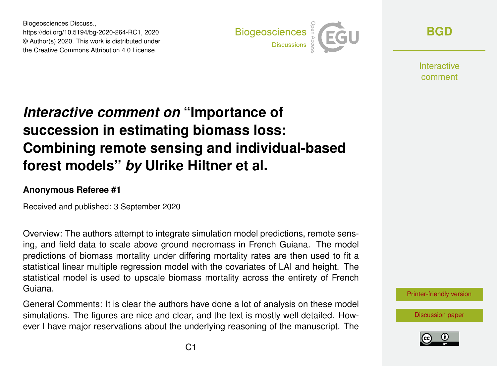Biogeosciences Discuss., https://doi.org/10.5194/bg-2020-264-RC1, 2020 © Author(s) 2020. This work is distributed under the Creative Commons Attribution 4.0 License.



**[BGD](https://bg.copernicus.org/preprints/)**

**Interactive** comment

# *Interactive comment on* **"Importance of succession in estimating biomass loss: Combining remote sensing and individual-based forest models"** *by* **Ulrike Hiltner et al.**

#### **Anonymous Referee #1**

Received and published: 3 September 2020

Overview: The authors attempt to integrate simulation model predictions, remote sensing, and field data to scale above ground necromass in French Guiana. The model predictions of biomass mortality under differing mortality rates are then used to fit a statistical linear multiple regression model with the covariates of LAI and height. The statistical model is used to upscale biomass mortality across the entirety of French Guiana.

General Comments: It is clear the authors have done a lot of analysis on these model simulations. The figures are nice and clear, and the text is mostly well detailed. However I have major reservations about the underlying reasoning of the manuscript. The

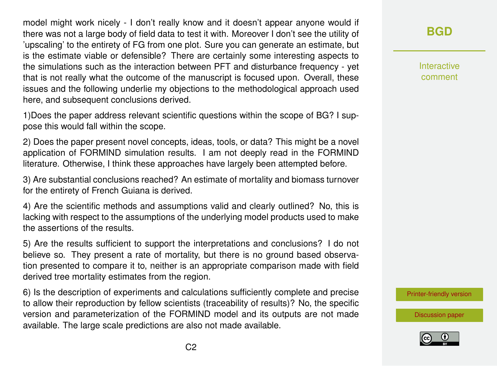model might work nicely - I don't really know and it doesn't appear anyone would if there was not a large body of field data to test it with. Moreover I don't see the utility of 'upscaling' to the entirety of FG from one plot. Sure you can generate an estimate, but is the estimate viable or defensible? There are certainly some interesting aspects to the simulations such as the interaction between PFT and disturbance frequency - yet that is not really what the outcome of the manuscript is focused upon. Overall, these issues and the following underlie my objections to the methodological approach used here, and subsequent conclusions derived.

1)Does the paper address relevant scientific questions within the scope of BG? I suppose this would fall within the scope.

2) Does the paper present novel concepts, ideas, tools, or data? This might be a novel application of FORMIND simulation results. I am not deeply read in the FORMIND literature. Otherwise, I think these approaches have largely been attempted before.

3) Are substantial conclusions reached? An estimate of mortality and biomass turnover for the entirety of French Guiana is derived.

4) Are the scientific methods and assumptions valid and clearly outlined? No, this is lacking with respect to the assumptions of the underlying model products used to make the assertions of the results.

5) Are the results sufficient to support the interpretations and conclusions? I do not believe so. They present a rate of mortality, but there is no ground based observation presented to compare it to, neither is an appropriate comparison made with field derived tree mortality estimates from the region.

6) Is the description of experiments and calculations sufficiently complete and precise to allow their reproduction by fellow scientists (traceability of results)? No, the specific version and parameterization of the FORMIND model and its outputs are not made available. The large scale predictions are also not made available.

#### **[BGD](https://bg.copernicus.org/preprints/)**

Interactive comment

[Printer-friendly version](https://bg.copernicus.org/preprints/bg-2020-264/bg-2020-264-RC1-print.pdf)

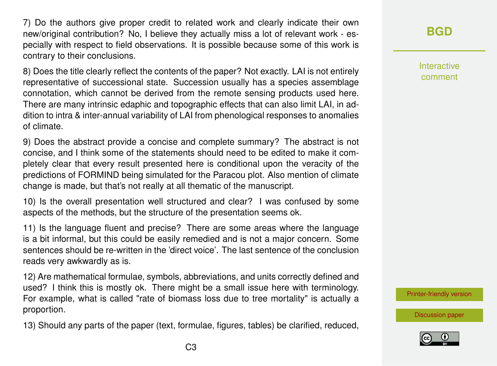7) Do the authors give proper credit to related work and clearly indicate their own new/original contribution? No, I believe they actually miss a lot of relevant work - especially with respect to field observations. It is possible because some of this work is contrary to their conclusions.

8) Does the title clearly reflect the contents of the paper? Not exactly. LAI is not entirely representative of successional state. Succession usually has a species assemblage connotation, which cannot be derived from the remote sensing products used here. There are many intrinsic edaphic and topographic effects that can also limit LAI, in addition to intra & inter-annual variability of LAI from phenological responses to anomalies of climate.

9) Does the abstract provide a concise and complete summary? The abstract is not concise, and I think some of the statements should need to be edited to make it completely clear that every result presented here is conditional upon the veracity of the predictions of FORMIND being simulated for the Paracou plot. Also mention of climate change is made, but that's not really at all thematic of the manuscript.

10) Is the overall presentation well structured and clear? I was confused by some aspects of the methods, but the structure of the presentation seems ok.

11) Is the language fluent and precise? There are some areas where the language is a bit informal, but this could be easily remedied and is not a major concern. Some sentences should be re-written in the 'direct voice'. The last sentence of the conclusion reads very awkwardly as is.

12) Are mathematical formulae, symbols, abbreviations, and units correctly defined and used? I think this is mostly ok. There might be a small issue here with terminology. For example, what is called "rate of biomass loss due to tree mortality" is actually a proportion.

13) Should any parts of the paper (text, formulae, figures, tables) be clarified, reduced,

#### **[BGD](https://bg.copernicus.org/preprints/)**

Interactive comment

[Printer-friendly version](https://bg.copernicus.org/preprints/bg-2020-264/bg-2020-264-RC1-print.pdf)

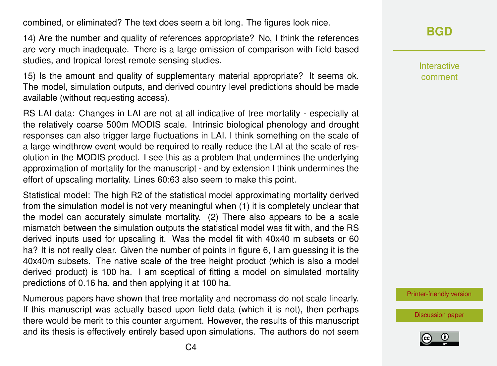combined, or eliminated? The text does seem a bit long. The figures look nice.

14) Are the number and quality of references appropriate? No, I think the references are very much inadequate. There is a large omission of comparison with field based studies, and tropical forest remote sensing studies.

15) Is the amount and quality of supplementary material appropriate? It seems ok. The model, simulation outputs, and derived country level predictions should be made available (without requesting access).

RS LAI data: Changes in LAI are not at all indicative of tree mortality - especially at the relatively coarse 500m MODIS scale. Intrinsic biological phenology and drought responses can also trigger large fluctuations in LAI. I think something on the scale of a large windthrow event would be required to really reduce the LAI at the scale of resolution in the MODIS product. I see this as a problem that undermines the underlying approximation of mortality for the manuscript - and by extension I think undermines the effort of upscaling mortality. Lines 60:63 also seem to make this point.

Statistical model: The high R2 of the statistical model approximating mortality derived from the simulation model is not very meaningful when (1) it is completely unclear that the model can accurately simulate mortality. (2) There also appears to be a scale mismatch between the simulation outputs the statistical model was fit with, and the RS derived inputs used for upscaling it. Was the model fit with 40x40 m subsets or 60 ha? It is not really clear. Given the number of points in figure 6, I am guessing it is the 40x40m subsets. The native scale of the tree height product (which is also a model derived product) is 100 ha. I am sceptical of fitting a model on simulated mortality predictions of 0.16 ha, and then applying it at 100 ha.

Numerous papers have shown that tree mortality and necromass do not scale linearly. If this manuscript was actually based upon field data (which it is not), then perhaps there would be merit to this counter argument. However, the results of this manuscript and its thesis is effectively entirely based upon simulations. The authors do not seem

## **[BGD](https://bg.copernicus.org/preprints/)**

Interactive comment

[Printer-friendly version](https://bg.copernicus.org/preprints/bg-2020-264/bg-2020-264-RC1-print.pdf)

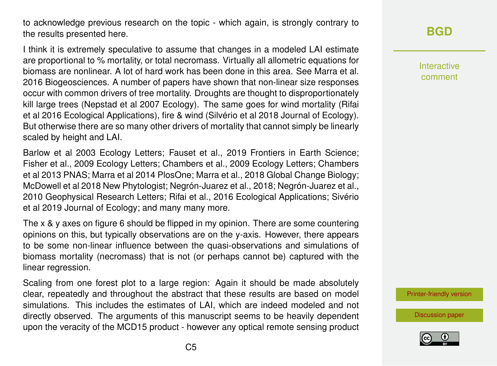to acknowledge previous research on the topic - which again, is strongly contrary to the results presented here.

I think it is extremely speculative to assume that changes in a modeled LAI estimate are proportional to % mortality, or total necromass. Virtually all allometric equations for biomass are nonlinear. A lot of hard work has been done in this area. See Marra et al. 2016 Biogeosciences. A number of papers have shown that non-linear size responses occur with common drivers of tree mortality. Droughts are thought to disproportionately kill large trees (Nepstad et al 2007 Ecology). The same goes for wind mortality (Rifai et al 2016 Ecological Applications), fire & wind (Silvério et al 2018 Journal of Ecology). But otherwise there are so many other drivers of mortality that cannot simply be linearly scaled by height and LAI.

Barlow et al 2003 Ecology Letters; Fauset et al., 2019 Frontiers in Earth Science; Fisher et al., 2009 Ecology Letters; Chambers et al., 2009 Ecology Letters; Chambers et al 2013 PNAS; Marra et al 2014 PlosOne; Marra et al., 2018 Global Change Biology; McDowell et al 2018 New Phytologist; Negrón-Juarez et al., 2018; Negrón-Juarez et al., 2010 Geophysical Research Letters; Rifai et al., 2016 Ecological Applications; Sivério et al 2019 Journal of Ecology; and many many more.

The x & y axes on figure 6 should be flipped in my opinion. There are some countering opinions on this, but typically observations are on the y-axis. However, there appears to be some non-linear influence between the quasi-observations and simulations of biomass mortality (necromass) that is not (or perhaps cannot be) captured with the linear regression.

Scaling from one forest plot to a large region: Again it should be made absolutely clear, repeatedly and throughout the abstract that these results are based on model simulations. This includes the estimates of LAI, which are indeed modeled and not directly observed. The arguments of this manuscript seems to be heavily dependent upon the veracity of the MCD15 product - however any optical remote sensing product

# **[BGD](https://bg.copernicus.org/preprints/)**

Interactive comment

[Printer-friendly version](https://bg.copernicus.org/preprints/bg-2020-264/bg-2020-264-RC1-print.pdf)

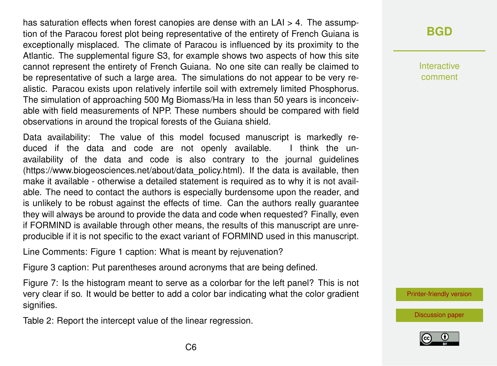has saturation effects when forest canopies are dense with an LAI > 4. The assumption of the Paracou forest plot being representative of the entirety of French Guiana is exceptionally misplaced. The climate of Paracou is influenced by its proximity to the Atlantic. The supplemental figure S3, for example shows two aspects of how this site cannot represent the entirety of French Guiana. No one site can really be claimed to be representative of such a large area. The simulations do not appear to be very realistic. Paracou exists upon relatively infertile soil with extremely limited Phosphorus. The simulation of approaching 500 Mg Biomass/Ha in less than 50 years is inconceivable with field measurements of NPP. These numbers should be compared with field observations in around the tropical forests of the Guiana shield.

Data availability: The value of this model focused manuscript is markedly reduced if the data and code are not openly available. I think the unavailability of the data and code is also contrary to the journal guidelines (https://www.biogeosciences.net/about/data\_policy.html). If the data is available, then make it available - otherwise a detailed statement is required as to why it is not available. The need to contact the authors is especially burdensome upon the reader, and is unlikely to be robust against the effects of time. Can the authors really guarantee they will always be around to provide the data and code when requested? Finally, even if FORMIND is available through other means, the results of this manuscript are unreproducible if it is not specific to the exact variant of FORMIND used in this manuscript.

Line Comments: Figure 1 caption: What is meant by rejuvenation?

Figure 3 caption: Put parentheses around acronyms that are being defined.

Figure 7: Is the histogram meant to serve as a colorbar for the left panel? This is not very clear if so. It would be better to add a color bar indicating what the color gradient signifies.

Table 2: Report the intercept value of the linear regression.

# **[BGD](https://bg.copernicus.org/preprints/)**

Interactive comment

[Printer-friendly version](https://bg.copernicus.org/preprints/bg-2020-264/bg-2020-264-RC1-print.pdf)

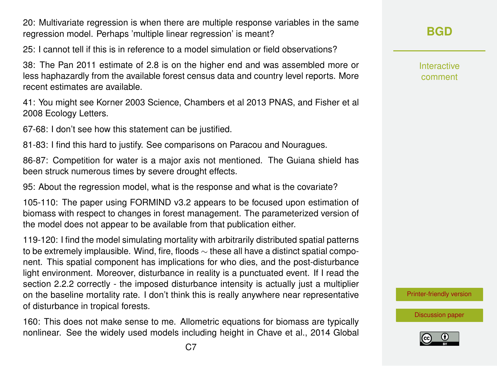20: Multivariate regression is when there are multiple response variables in the same regression model. Perhaps 'multiple linear regression' is meant?

25: I cannot tell if this is in reference to a model simulation or field observations?

38: The Pan 2011 estimate of 2.8 is on the higher end and was assembled more or less haphazardly from the available forest census data and country level reports. More recent estimates are available.

41: You might see Korner 2003 Science, Chambers et al 2013 PNAS, and Fisher et al 2008 Ecology Letters.

67-68: I don't see how this statement can be justified.

81-83: I find this hard to justify. See comparisons on Paracou and Nouragues.

86-87: Competition for water is a major axis not mentioned. The Guiana shield has been struck numerous times by severe drought effects.

95: About the regression model, what is the response and what is the covariate?

105-110: The paper using FORMIND v3.2 appears to be focused upon estimation of biomass with respect to changes in forest management. The parameterized version of the model does not appear to be available from that publication either.

119-120: I find the model simulating mortality with arbitrarily distributed spatial patterns to be extremely implausible. Wind, fire, floods ∼ these all have a distinct spatial component. This spatial component has implications for who dies, and the post-disturbance light environment. Moreover, disturbance in reality is a punctuated event. If I read the section 2.2.2 correctly - the imposed disturbance intensity is actually just a multiplier on the baseline mortality rate. I don't think this is really anywhere near representative of disturbance in tropical forests.

160: This does not make sense to me. Allometric equations for biomass are typically nonlinear. See the widely used models including height in Chave et al., 2014 Global **[BGD](https://bg.copernicus.org/preprints/)**

Interactive comment

[Printer-friendly version](https://bg.copernicus.org/preprints/bg-2020-264/bg-2020-264-RC1-print.pdf)